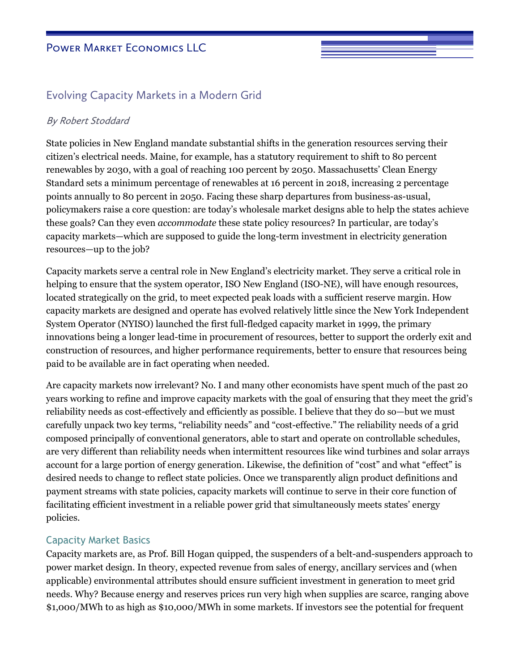# Evolving Capacity Markets in a Modern Grid

#### By Robert Stoddard

State policies in New England mandate substantial shifts in the generation resources serving their citizen's electrical needs. Maine, for example, has a statutory requirement to shift to 80 percent renewables by 2030, with a goal of reaching 100 percent by 2050. Massachusetts' Clean Energy Standard sets a minimum percentage of renewables at 16 percent in 2018, increasing 2 percentage points annually to 80 percent in 2050. Facing these sharp departures from business-as-usual, policymakers raise a core question: are today's wholesale market designs able to help the states achieve these goals? Can they even *accommodate* these state policy resources? In particular, are today's capacity markets—which are supposed to guide the long-term investment in electricity generation resources—up to the job?

Capacity markets serve a central role in New England's electricity market. They serve a critical role in helping to ensure that the system operator, ISO New England (ISO-NE), will have enough resources, located strategically on the grid, to meet expected peak loads with a sufficient reserve margin. How capacity markets are designed and operate has evolved relatively little since the New York Independent System Operator (NYISO) launched the first full-fledged capacity market in 1999, the primary innovations being a longer lead-time in procurement of resources, better to support the orderly exit and construction of resources, and higher performance requirements, better to ensure that resources being paid to be available are in fact operating when needed.

Are capacity markets now irrelevant? No. I and many other economists have spent much of the past 20 years working to refine and improve capacity markets with the goal of ensuring that they meet the grid's reliability needs as cost-effectively and efficiently as possible. I believe that they do so—but we must carefully unpack two key terms, "reliability needs" and "cost-effective." The reliability needs of a grid composed principally of conventional generators, able to start and operate on controllable schedules, are very different than reliability needs when intermittent resources like wind turbines and solar arrays account for a large portion of energy generation. Likewise, the definition of "cost" and what "effect" is desired needs to change to reflect state policies. Once we transparently align product definitions and payment streams with state policies, capacity markets will continue to serve in their core function of facilitating efficient investment in a reliable power grid that simultaneously meets states' energy policies.

### Capacity Market Basics

Capacity markets are, as Prof. Bill Hogan quipped, the suspenders of a belt-and-suspenders approach to power market design. In theory, expected revenue from sales of energy, ancillary services and (when applicable) environmental attributes should ensure sufficient investment in generation to meet grid needs. Why? Because energy and reserves prices run very high when supplies are scarce, ranging above \$1,000/MWh to as high as \$10,000/MWh in some markets. If investors see the potential for frequent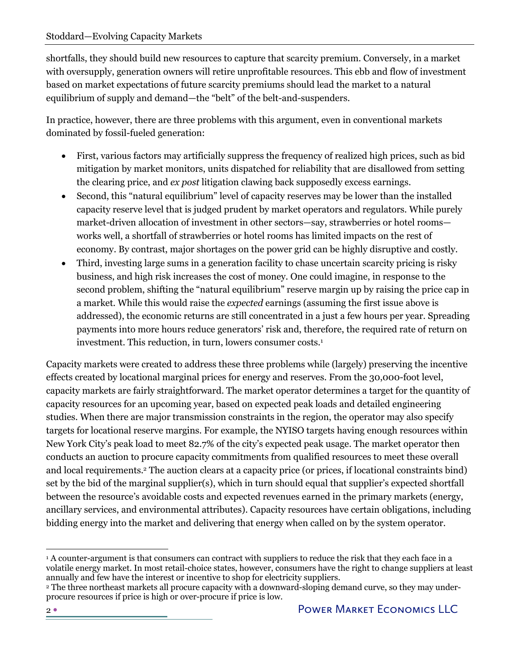shortfalls, they should build new resources to capture that scarcity premium. Conversely, in a market with oversupply, generation owners will retire unprofitable resources. This ebb and flow of investment based on market expectations of future scarcity premiums should lead the market to a natural equilibrium of supply and demand—the "belt" of the belt-and-suspenders.

In practice, however, there are three problems with this argument, even in conventional markets dominated by fossil-fueled generation:

- First, various factors may artificially suppress the frequency of realized high prices, such as bid mitigation by market monitors, units dispatched for reliability that are disallowed from setting the clearing price, and *ex post* litigation clawing back supposedly excess earnings.
- Second, this "natural equilibrium" level of capacity reserves may be lower than the installed capacity reserve level that is judged prudent by market operators and regulators. While purely market-driven allocation of investment in other sectors—say, strawberries or hotel rooms works well, a shortfall of strawberries or hotel rooms has limited impacts on the rest of economy. By contrast, major shortages on the power grid can be highly disruptive and costly.
- Third, investing large sums in a generation facility to chase uncertain scarcity pricing is risky business, and high risk increases the cost of money. One could imagine, in response to the second problem, shifting the "natural equilibrium" reserve margin up by raising the price cap in a market. While this would raise the *expected* earnings (assuming the first issue above is addressed), the economic returns are still concentrated in a just a few hours per year. Spreading payments into more hours reduce generators' risk and, therefore, the required rate of return on investment. This reduction, in turn, lowers consumer costs.<sup>1</sup>

Capacity markets were created to address these three problems while (largely) preserving the incentive effects created by locational marginal prices for energy and reserves. From the 30,000-foot level, capacity markets are fairly straightforward. The market operator determines a target for the quantity of capacity resources for an upcoming year, based on expected peak loads and detailed engineering studies. When there are major transmission constraints in the region, the operator may also specify targets for locational reserve margins. For example, the NYISO targets having enough resources within New York City's peak load to meet 82.7% of the city's expected peak usage. The market operator then conducts an auction to procure capacity commitments from qualified resources to meet these overall and local requirements.2 The auction clears at a capacity price (or prices, if locational constraints bind) set by the bid of the marginal supplier(s), which in turn should equal that supplier's expected shortfall between the resource's avoidable costs and expected revenues earned in the primary markets (energy, ancillary services, and environmental attributes). Capacity resources have certain obligations, including bidding energy into the market and delivering that energy when called on by the system operator.

<sup>1</sup> A counter-argument is that consumers can contract with suppliers to reduce the risk that they each face in a volatile energy market. In most retail-choice states, however, consumers have the right to change suppliers at least annually and few have the interest or incentive to shop for electricity suppliers.

<sup>&</sup>lt;sup>2</sup> The three northeast markets all procure capacity with a downward-sloping demand curve, so they may underprocure resources if price is high or over-procure if price is low.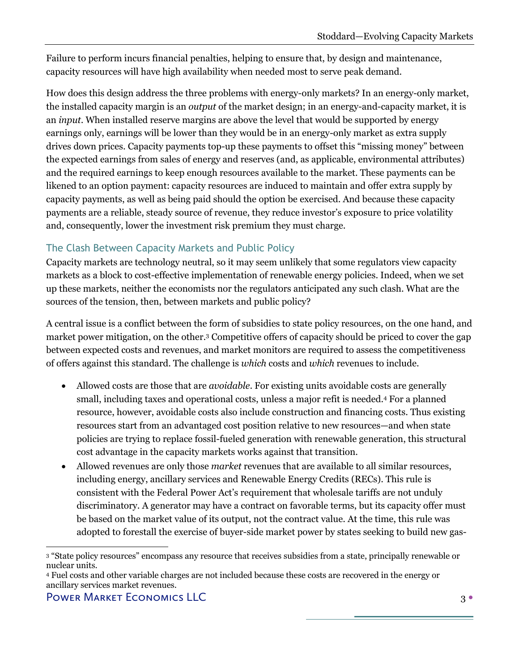Failure to perform incurs financial penalties, helping to ensure that, by design and maintenance, capacity resources will have high availability when needed most to serve peak demand.

How does this design address the three problems with energy-only markets? In an energy-only market, the installed capacity margin is an *output* of the market design; in an energy-and-capacity market, it is an *input*. When installed reserve margins are above the level that would be supported by energy earnings only, earnings will be lower than they would be in an energy-only market as extra supply drives down prices. Capacity payments top-up these payments to offset this "missing money" between the expected earnings from sales of energy and reserves (and, as applicable, environmental attributes) and the required earnings to keep enough resources available to the market. These payments can be likened to an option payment: capacity resources are induced to maintain and offer extra supply by capacity payments, as well as being paid should the option be exercised. And because these capacity payments are a reliable, steady source of revenue, they reduce investor's exposure to price volatility and, consequently, lower the investment risk premium they must charge.

## The Clash Between Capacity Markets and Public Policy

Capacity markets are technology neutral, so it may seem unlikely that some regulators view capacity markets as a block to cost-effective implementation of renewable energy policies. Indeed, when we set up these markets, neither the economists nor the regulators anticipated any such clash. What are the sources of the tension, then, between markets and public policy?

A central issue is a conflict between the form of subsidies to state policy resources, on the one hand, and market power mitigation, on the other. <sup>3</sup> Competitive offers of capacity should be priced to cover the gap between expected costs and revenues, and market monitors are required to assess the competitiveness of offers against this standard. The challenge is *which* costs and *which* revenues to include.

- Allowed costs are those that are *avoidable*. For existing units avoidable costs are generally small, including taxes and operational costs, unless a major refit is needed. <sup>4</sup> For a planned resource, however, avoidable costs also include construction and financing costs. Thus existing resources start from an advantaged cost position relative to new resources—and when state policies are trying to replace fossil-fueled generation with renewable generation, this structural cost advantage in the capacity markets works against that transition.
- Allowed revenues are only those *market* revenues that are available to all similar resources, including energy, ancillary services and Renewable Energy Credits (RECs). This rule is consistent with the Federal Power Act's requirement that wholesale tariffs are not unduly discriminatory. A generator may have a contract on favorable terms, but its capacity offer must be based on the market value of its output, not the contract value. At the time, this rule was adopted to forestall the exercise of buyer-side market power by states seeking to build new gas-

<sup>4</sup> Fuel costs and other variable charges are not included because these costs are recovered in the energy or ancillary services market revenues.

<sup>3</sup> "State policy resources" encompass any resource that receives subsidies from a state, principally renewable or nuclear units.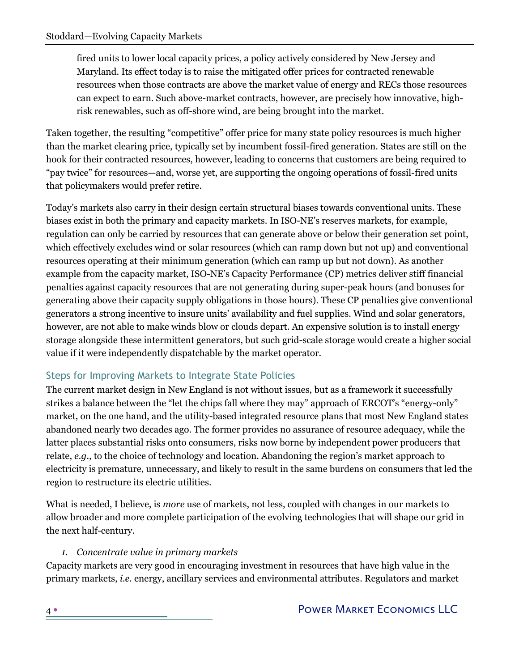fired units to lower local capacity prices, a policy actively considered by New Jersey and Maryland. Its effect today is to raise the mitigated offer prices for contracted renewable resources when those contracts are above the market value of energy and RECs those resources can expect to earn. Such above-market contracts, however, are precisely how innovative, highrisk renewables, such as off-shore wind, are being brought into the market.

Taken together, the resulting "competitive" offer price for many state policy resources is much higher than the market clearing price, typically set by incumbent fossil-fired generation. States are still on the hook for their contracted resources, however, leading to concerns that customers are being required to "pay twice" for resources—and, worse yet, are supporting the ongoing operations of fossil-fired units that policymakers would prefer retire.

Today's markets also carry in their design certain structural biases towards conventional units. These biases exist in both the primary and capacity markets. In ISO-NE's reserves markets, for example, regulation can only be carried by resources that can generate above or below their generation set point, which effectively excludes wind or solar resources (which can ramp down but not up) and conventional resources operating at their minimum generation (which can ramp up but not down). As another example from the capacity market, ISO-NE's Capacity Performance (CP) metrics deliver stiff financial penalties against capacity resources that are not generating during super-peak hours (and bonuses for generating above their capacity supply obligations in those hours). These CP penalties give conventional generators a strong incentive to insure units' availability and fuel supplies. Wind and solar generators, however, are not able to make winds blow or clouds depart. An expensive solution is to install energy storage alongside these intermittent generators, but such grid-scale storage would create a higher social value if it were independently dispatchable by the market operator.

### Steps for Improving Markets to Integrate State Policies

The current market design in New England is not without issues, but as a framework it successfully strikes a balance between the "let the chips fall where they may" approach of ERCOT's "energy-only" market, on the one hand, and the utility-based integrated resource plans that most New England states abandoned nearly two decades ago. The former provides no assurance of resource adequacy, while the latter places substantial risks onto consumers, risks now borne by independent power producers that relate, *e.g.*, to the choice of technology and location. Abandoning the region's market approach to electricity is premature, unnecessary, and likely to result in the same burdens on consumers that led the region to restructure its electric utilities.

What is needed, I believe, is *more* use of markets, not less, coupled with changes in our markets to allow broader and more complete participation of the evolving technologies that will shape our grid in the next half-century.

### *1. Concentrate value in primary markets*

Capacity markets are very good in encouraging investment in resources that have high value in the primary markets, *i.e.* energy, ancillary services and environmental attributes. Regulators and market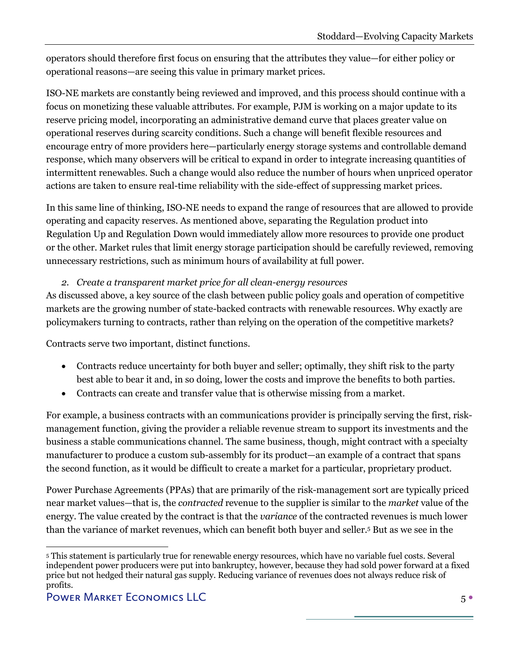operators should therefore first focus on ensuring that the attributes they value—for either policy or operational reasons—are seeing this value in primary market prices.

ISO-NE markets are constantly being reviewed and improved, and this process should continue with a focus on monetizing these valuable attributes. For example, PJM is working on a major update to its reserve pricing model, incorporating an administrative demand curve that places greater value on operational reserves during scarcity conditions. Such a change will benefit flexible resources and encourage entry of more providers here—particularly energy storage systems and controllable demand response, which many observers will be critical to expand in order to integrate increasing quantities of intermittent renewables. Such a change would also reduce the number of hours when unpriced operator actions are taken to ensure real-time reliability with the side-effect of suppressing market prices.

In this same line of thinking, ISO-NE needs to expand the range of resources that are allowed to provide operating and capacity reserves. As mentioned above, separating the Regulation product into Regulation Up and Regulation Down would immediately allow more resources to provide one product or the other. Market rules that limit energy storage participation should be carefully reviewed, removing unnecessary restrictions, such as minimum hours of availability at full power.

### *2. Create a transparent market price for all clean-energy resources*

As discussed above, a key source of the clash between public policy goals and operation of competitive markets are the growing number of state-backed contracts with renewable resources. Why exactly are policymakers turning to contracts, rather than relying on the operation of the competitive markets?

Contracts serve two important, distinct functions.

- Contracts reduce uncertainty for both buyer and seller; optimally, they shift risk to the party best able to bear it and, in so doing, lower the costs and improve the benefits to both parties.
- Contracts can create and transfer value that is otherwise missing from a market.

For example, a business contracts with an communications provider is principally serving the first, riskmanagement function, giving the provider a reliable revenue stream to support its investments and the business a stable communications channel. The same business, though, might contract with a specialty manufacturer to produce a custom sub-assembly for its product—an example of a contract that spans the second function, as it would be difficult to create a market for a particular, proprietary product.

Power Purchase Agreements (PPAs) that are primarily of the risk-management sort are typically priced near market values—that is, the *contracted* revenue to the supplier is similar to the *market* value of the energy. The value created by the contract is that the *variance* of the contracted revenues is much lower than the variance of market revenues, which can benefit both buyer and seller.5 But as we see in the

<sup>5</sup> This statement is particularly true for renewable energy resources, which have no variable fuel costs. Several independent power producers were put into bankruptcy, however, because they had sold power forward at a fixed price but not hedged their natural gas supply. Reducing variance of revenues does not always reduce risk of profits.

Power Market Economics LLC 5